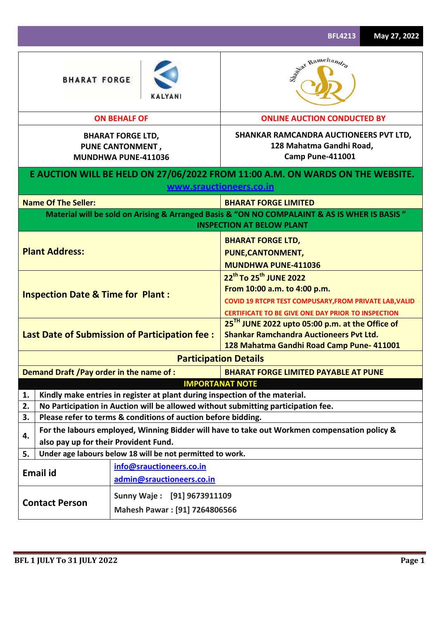|                                                                                                                                                          |                                                                             | <b>BFL4213</b>                                                                                                                                                                                        | May 27, 2022 |  |  |  |  |  |
|----------------------------------------------------------------------------------------------------------------------------------------------------------|-----------------------------------------------------------------------------|-------------------------------------------------------------------------------------------------------------------------------------------------------------------------------------------------------|--------------|--|--|--|--|--|
| <b>BHARAT FORGE</b>                                                                                                                                      |                                                                             | Sant Ramchandra                                                                                                                                                                                       |              |  |  |  |  |  |
|                                                                                                                                                          | <b>ON BEHALF OF</b>                                                         | <b>ONLINE AUCTION CONDUCTED BY</b>                                                                                                                                                                    |              |  |  |  |  |  |
|                                                                                                                                                          | <b>BHARAT FORGE LTD,</b><br><b>PUNE CANTONMENT,</b><br>MUNDHWA PUNE-411036  | SHANKAR RAMCANDRA AUCTIONEERS PVT LTD,<br>128 Mahatma Gandhi Road,<br><b>Camp Pune-411001</b>                                                                                                         |              |  |  |  |  |  |
|                                                                                                                                                          |                                                                             | E AUCTION WILL BE HELD ON 27/06/2022 FROM 11:00 A.M. ON WARDS ON THE WEBSITE.<br>www.srauctioneers.co.in                                                                                              |              |  |  |  |  |  |
| <b>Name Of The Seller:</b>                                                                                                                               |                                                                             | <b>BHARAT FORGE LIMITED</b>                                                                                                                                                                           |              |  |  |  |  |  |
|                                                                                                                                                          |                                                                             | Material will be sold on Arising & Arranged Basis & "ON NO COMPALAINT & AS IS WHER IS BASIS"<br><b>INSPECTION AT BELOW PLANT</b>                                                                      |              |  |  |  |  |  |
| <b>Plant Address:</b>                                                                                                                                    |                                                                             | <b>BHARAT FORGE LTD,</b><br>PUNE, CANTONMENT,<br><b>MUNDHWA PUNE-411036</b>                                                                                                                           |              |  |  |  |  |  |
| <b>Inspection Date &amp; Time for Plant:</b>                                                                                                             |                                                                             | 22 <sup>th</sup> To 25 <sup>th</sup> JUNE 2022<br>From 10:00 a.m. to 4:00 p.m.<br>COVID 19 RTCPR TEST COMPUSARY, FROM PRIVATE LAB, VALID<br><b>CERTIFICATE TO BE GIVE ONE DAY PRIOR-TO INSPECTION</b> |              |  |  |  |  |  |
|                                                                                                                                                          | Last Date of Submission of Participation fee :                              | 25 <sup>TH</sup> JUNE 2022 upto 05:00 p.m. at the Office of<br><b>Shankar Ramchandra Auctioneers Pvt Ltd.</b><br>128 Mahatma Gandhi Road Camp Pune-411001                                             |              |  |  |  |  |  |
|                                                                                                                                                          |                                                                             | <b>Participation Details</b>                                                                                                                                                                          |              |  |  |  |  |  |
| Demand Draft / Pay order in the name of :                                                                                                                |                                                                             | <b>BHARAT FORGE LIMITED PAYABLE AT PUNE</b>                                                                                                                                                           |              |  |  |  |  |  |
|                                                                                                                                                          |                                                                             | <b>IMPORTANAT NOTE</b>                                                                                                                                                                                |              |  |  |  |  |  |
| 1.<br>2.                                                                                                                                                 | Kindly make entries in register at plant during inspection of the material. |                                                                                                                                                                                                       |              |  |  |  |  |  |
| No Participation in Auction will be allowed without submitting participation fee.<br>Please refer to terms & conditions of auction before bidding.<br>3. |                                                                             |                                                                                                                                                                                                       |              |  |  |  |  |  |
| For the labours employed, Winning Bidder will have to take out Workmen compensation policy &<br>4.                                                       |                                                                             |                                                                                                                                                                                                       |              |  |  |  |  |  |
| also pay up for their Provident Fund.                                                                                                                    |                                                                             |                                                                                                                                                                                                       |              |  |  |  |  |  |
| 5.                                                                                                                                                       | Under age labours below 18 will be not permitted to work.                   |                                                                                                                                                                                                       |              |  |  |  |  |  |
| <b>Email id</b>                                                                                                                                          | info@srauctioneers.co.in<br>admin@srauctioneers.co.in                       |                                                                                                                                                                                                       |              |  |  |  |  |  |
| <b>Contact Person</b>                                                                                                                                    | Sunny Waje: [91] 9673911109<br>Mahesh Pawar: [91] 7264806566                |                                                                                                                                                                                                       |              |  |  |  |  |  |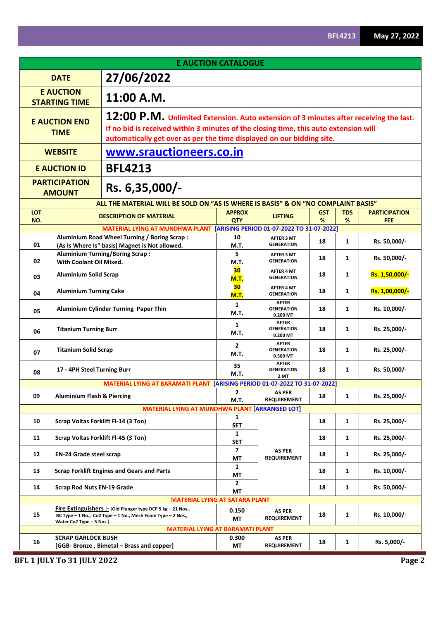| <b>E AUCTION CATALOGUE</b>                                                                                                                                                                                                                                                                    |                                                         |                                                                                                                              |                        |                                               |            |              |                      |  |  |  |
|-----------------------------------------------------------------------------------------------------------------------------------------------------------------------------------------------------------------------------------------------------------------------------------------------|---------------------------------------------------------|------------------------------------------------------------------------------------------------------------------------------|------------------------|-----------------------------------------------|------------|--------------|----------------------|--|--|--|
|                                                                                                                                                                                                                                                                                               | 27/06/2022<br><b>DATE</b>                               |                                                                                                                              |                        |                                               |            |              |                      |  |  |  |
|                                                                                                                                                                                                                                                                                               | <b>E AUCTION</b><br>11:00 A.M.<br><b>STARTING TIME</b>  |                                                                                                                              |                        |                                               |            |              |                      |  |  |  |
| 12:00 P.M. Unlimited Extension. Auto extension of 3 minutes after receiving the last.<br><b>E AUCTION END</b><br>If no bid is received within 3 minutes of the closing time, this auto extension will<br><b>TIME</b><br>automatically get over as per the time displayed on our bidding site. |                                                         |                                                                                                                              |                        |                                               |            |              |                      |  |  |  |
|                                                                                                                                                                                                                                                                                               | www.srauctioneers.co.in<br><b>WEBSITE</b>               |                                                                                                                              |                        |                                               |            |              |                      |  |  |  |
|                                                                                                                                                                                                                                                                                               | <b>E AUCTION ID</b>                                     | <b>BFL4213</b>                                                                                                               |                        |                                               |            |              |                      |  |  |  |
|                                                                                                                                                                                                                                                                                               | <b>PARTICIPATION</b><br>Rs. 6,35,000/-<br><b>AMOUNT</b> |                                                                                                                              |                        |                                               |            |              |                      |  |  |  |
|                                                                                                                                                                                                                                                                                               |                                                         | ALL THE MATERIAL WILL BE SOLD ON "AS IS WHERE IS BASIS" & ON "NO COMPLAINT BASIS"                                            |                        |                                               |            |              |                      |  |  |  |
| <b>LOT</b>                                                                                                                                                                                                                                                                                    |                                                         | <b>DESCRIPTION OF MATERIAL</b>                                                                                               | <b>APPROX</b>          | <b>LIFTING</b>                                | <b>GST</b> | <b>TDS</b>   | <b>PARTICIPATION</b> |  |  |  |
| NO.                                                                                                                                                                                                                                                                                           |                                                         | MATERIAL LYING AT MUNDHWA PLANT [ARISING PERIOD 01-07-2022 TO 31-07-2022]                                                    | <b>QTY</b>             |                                               | %          | %            | <b>FEE</b>           |  |  |  |
| 01                                                                                                                                                                                                                                                                                            |                                                         | Aluminium Road Wheel Turning / Boring Scrap:<br>(As Is Where Is" basis) Magnet is Not allowed.                               | 10<br>M.T.             | <b>AFTER 3 MT</b><br><b>GENERATION</b>        | 18         | 1            | Rs. 50,000/-         |  |  |  |
| 02                                                                                                                                                                                                                                                                                            | With Coolant Oil Mixed.                                 | <b>Aluminium Turning/Boring Scrap:</b>                                                                                       | 5<br>M.T.              | <b>AFTER 3 MT</b><br><b>GENERATION</b>        | 18         | 1            | Rs. 50,000/-         |  |  |  |
| 03                                                                                                                                                                                                                                                                                            | <b>Aluminium Solid Scrap</b>                            |                                                                                                                              | 30<br><b>M.T.</b>      | <b>AFTER 4 MT</b><br><b>GENERATION</b>        | 18         | 1            | Rs. 1,50,000/-       |  |  |  |
| 04                                                                                                                                                                                                                                                                                            | <b>Aluminium Turning Cake</b>                           |                                                                                                                              | 30<br>M.T.             | <b>AFTER 4 MT</b><br><b>GENERATION</b>        | 18         | 1            | Rs. 1,00,000/-       |  |  |  |
| 05                                                                                                                                                                                                                                                                                            |                                                         | Aluminium Cylinder Turning Paper Thin                                                                                        | $\mathbf{1}$<br>M.T.   | <b>AFTER</b><br><b>GENERATION</b><br>0.200 MT | 18         | 1            | Rs. 10,000/-         |  |  |  |
| 06                                                                                                                                                                                                                                                                                            | <b>Titanium Turning Burr</b>                            |                                                                                                                              | 1<br>M.T.              | <b>AFTER</b><br><b>GENERATION</b><br>0.200 MT | 18         | 1            | Rs. 25,000/-         |  |  |  |
| 07                                                                                                                                                                                                                                                                                            | <b>Titanium Solid Scrap</b>                             |                                                                                                                              | $\overline{2}$<br>M.T. | <b>AFTER</b><br><b>GENERATION</b><br>0.500 MT | 18         | 1            | Rs. 25,000/-         |  |  |  |
| 08                                                                                                                                                                                                                                                                                            | 17 - 4PH Steel Turning Burr                             |                                                                                                                              | 35<br>M.T.             | <b>AFTER</b><br><b>GENERATION</b><br>2 MT     | 18         | 1            | Rs. 50,000/-         |  |  |  |
|                                                                                                                                                                                                                                                                                               |                                                         | MATERIAL LYING AT BARAMATI PLANT [ARISING PERIOD 01-07-2022 TO 31-07-2022]                                                   |                        |                                               |            |              |                      |  |  |  |
| 09                                                                                                                                                                                                                                                                                            | <b>Aluminium Flash &amp; Piercing</b>                   |                                                                                                                              | 2<br>M.T.              | <b>AS PER</b><br><b>REQUIREMENT</b>           | 18         | 1            | Rs. 25,000/-         |  |  |  |
|                                                                                                                                                                                                                                                                                               |                                                         | <b>MATERIAL LYING AT MUNDHWA PLANT</b>                                                                                       |                        | <b>[ARRANGED LOT]</b>                         |            |              |                      |  |  |  |
| 10                                                                                                                                                                                                                                                                                            |                                                         | Scrap Voltas Forklift Fl-14 (3 Ton)                                                                                          | $\mathbf{1}$<br>SET    |                                               | 18         | $\mathbf{1}$ | Rs. 25,000/-         |  |  |  |
| 11                                                                                                                                                                                                                                                                                            |                                                         | Scrap Voltas Forklift FI-45 (3 Ton)                                                                                          | 1<br>SET               |                                               | 18         | 1            | Rs. 25,000/-         |  |  |  |
| 12                                                                                                                                                                                                                                                                                            | <b>EN-24 Grade steel scrap</b>                          |                                                                                                                              | $\overline{7}$<br>МT   | <b>AS PER</b><br><b>REQUIREMENT</b>           | 18         | 1            | Rs. 25,000/-         |  |  |  |
| 13                                                                                                                                                                                                                                                                                            |                                                         | <b>Scrap Forklift Engines and Gears and Parts</b>                                                                            | $\mathbf{1}$<br>MT     |                                               | 18         | 1            | Rs. 10,000/-         |  |  |  |
| 14                                                                                                                                                                                                                                                                                            | <b>Scrap Rod Nuts EN-19 Grade</b>                       |                                                                                                                              | $\overline{2}$<br>MT   |                                               | 18         | $\mathbf{1}$ | Rs. 50,000/-         |  |  |  |
|                                                                                                                                                                                                                                                                                               |                                                         | <b>MATERIAL LYING AT SATARA PLANT</b>                                                                                        |                        |                                               |            |              |                      |  |  |  |
| 15                                                                                                                                                                                                                                                                                            | Water Co2 Type - 5 Nos.]                                | Fire Extinguishers :- [Old Plunger type DCP 5 $kg - 21$ Nos.,<br>BC Type - 1 No., Co2 Type - 1 No., Mech Foam Type - 2 Nos., | 0.150<br>МT            | <b>AS PER</b><br><b>REQUIREMENT</b>           | 18         | 1            | Rs. 10,000/-         |  |  |  |
|                                                                                                                                                                                                                                                                                               |                                                         | <b>MATERIAL LYING AT BARAMATI PLANT</b>                                                                                      |                        |                                               |            |              |                      |  |  |  |
| 16                                                                                                                                                                                                                                                                                            | <b>SCRAP GARLOCK BUSH</b>                               | [GGB- Bronze, Bimetal - Brass and copper]                                                                                    | 0.300<br>МT            | <b>AS PER</b><br><b>REQUIREMENT</b>           | 18         | 1            | Rs. 5,000/-          |  |  |  |

**BFL 1 JULY To 31 JULY 2022 Page 2**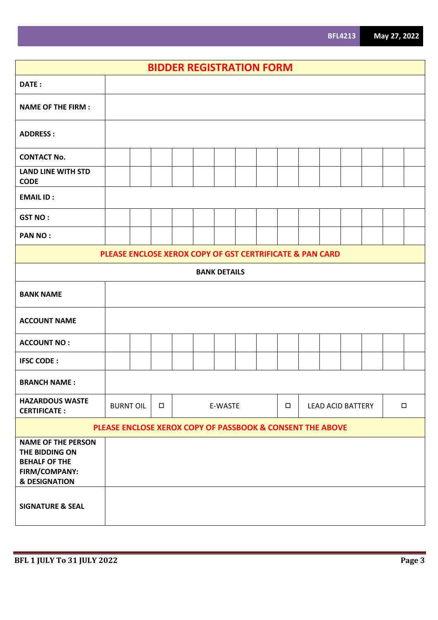| <b>BIDDER REGISTRATION FORM</b>                                                                                  |                                                          |  |        |  |  |                     |  |        |  |                          |  |        |
|------------------------------------------------------------------------------------------------------------------|----------------------------------------------------------|--|--------|--|--|---------------------|--|--------|--|--------------------------|--|--------|
| DATE:                                                                                                            |                                                          |  |        |  |  |                     |  |        |  |                          |  |        |
| <b>NAME OF THE FIRM:</b>                                                                                         |                                                          |  |        |  |  |                     |  |        |  |                          |  |        |
| <b>ADDRESS:</b>                                                                                                  |                                                          |  |        |  |  |                     |  |        |  |                          |  |        |
| <b>CONTACT No.</b>                                                                                               |                                                          |  |        |  |  |                     |  |        |  |                          |  |        |
| <b>LAND LINE WITH STD</b><br><b>CODE</b>                                                                         |                                                          |  |        |  |  |                     |  |        |  |                          |  |        |
| <b>EMAIL ID:</b>                                                                                                 |                                                          |  |        |  |  |                     |  |        |  |                          |  |        |
| <b>GST NO:</b>                                                                                                   |                                                          |  |        |  |  |                     |  |        |  |                          |  |        |
| <b>PAN NO:</b>                                                                                                   |                                                          |  |        |  |  |                     |  |        |  |                          |  |        |
|                                                                                                                  | PLEASE ENCLOSE XEROX COPY OF GST CERTRIFICATE & PAN CARD |  |        |  |  |                     |  |        |  |                          |  |        |
|                                                                                                                  |                                                          |  |        |  |  | <b>BANK DETAILS</b> |  |        |  |                          |  |        |
| <b>BANK NAME</b>                                                                                                 |                                                          |  |        |  |  |                     |  |        |  |                          |  |        |
| <b>ACCOUNT NAME</b>                                                                                              |                                                          |  |        |  |  |                     |  |        |  |                          |  |        |
| <b>ACCOUNT NO:</b>                                                                                               |                                                          |  |        |  |  |                     |  |        |  |                          |  |        |
| <b>IFSC CODE:</b>                                                                                                |                                                          |  |        |  |  |                     |  |        |  |                          |  |        |
| <b>BRANCH NAME:</b>                                                                                              |                                                          |  |        |  |  |                     |  |        |  |                          |  |        |
| <b>HAZARDOUS WASTE</b><br><b>CERTIFICATE:</b>                                                                    | <b>BURNT OIL</b>                                         |  | $\Box$ |  |  | E-WASTE             |  | $\Box$ |  | <b>LEAD ACID BATTERY</b> |  | $\Box$ |
| PLEASE ENCLOSE XEROX COPY OF PASSBOOK & CONSENT THE ABOVE                                                        |                                                          |  |        |  |  |                     |  |        |  |                          |  |        |
| <b>NAME OF THE PERSON</b><br>THE BIDDING ON<br><b>BEHALF OF THE</b><br>FIRM/COMPANY:<br><b>&amp; DESIGNATION</b> |                                                          |  |        |  |  |                     |  |        |  |                          |  |        |
| <b>SIGNATURE &amp; SEAL</b>                                                                                      |                                                          |  |        |  |  |                     |  |        |  |                          |  |        |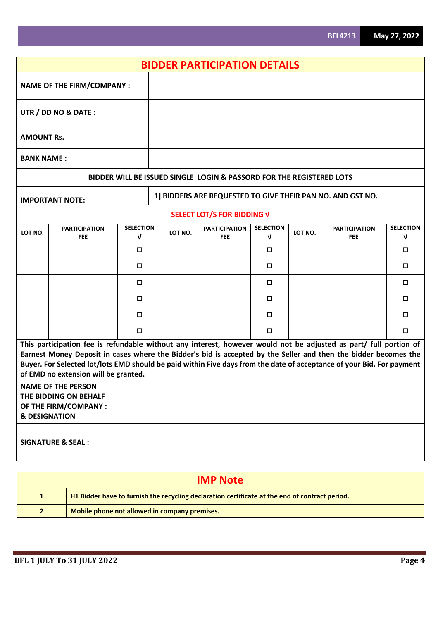| <b>BIDDER PARTICIPATION DETAILS</b>                                                                                                                                                                                                                                                                                                                                                                                                                                                                                                              |                                    |                       |  |         |                                                                      |                                  |         |                                                            |                                 |
|--------------------------------------------------------------------------------------------------------------------------------------------------------------------------------------------------------------------------------------------------------------------------------------------------------------------------------------------------------------------------------------------------------------------------------------------------------------------------------------------------------------------------------------------------|------------------------------------|-----------------------|--|---------|----------------------------------------------------------------------|----------------------------------|---------|------------------------------------------------------------|---------------------------------|
|                                                                                                                                                                                                                                                                                                                                                                                                                                                                                                                                                  | <b>NAME OF THE FIRM/COMPANY:</b>   |                       |  |         |                                                                      |                                  |         |                                                            |                                 |
|                                                                                                                                                                                                                                                                                                                                                                                                                                                                                                                                                  | UTR / DD NO & DATE:                |                       |  |         |                                                                      |                                  |         |                                                            |                                 |
| <b>AMOUNT Rs.</b>                                                                                                                                                                                                                                                                                                                                                                                                                                                                                                                                |                                    |                       |  |         |                                                                      |                                  |         |                                                            |                                 |
| <b>BANK NAME:</b>                                                                                                                                                                                                                                                                                                                                                                                                                                                                                                                                |                                    |                       |  |         |                                                                      |                                  |         |                                                            |                                 |
|                                                                                                                                                                                                                                                                                                                                                                                                                                                                                                                                                  |                                    |                       |  |         | BIDDER WILL BE ISSUED SINGLE LOGIN & PASSORD FOR THE REGISTERED LOTS |                                  |         |                                                            |                                 |
|                                                                                                                                                                                                                                                                                                                                                                                                                                                                                                                                                  | <b>IMPORTANT NOTE:</b>             |                       |  |         |                                                                      |                                  |         | 1] BIDDERS ARE REQUESTED TO GIVE THEIR PAN NO. AND GST NO. |                                 |
|                                                                                                                                                                                                                                                                                                                                                                                                                                                                                                                                                  |                                    |                       |  |         | SELECT LOT/S FOR BIDDING V                                           |                                  |         |                                                            |                                 |
| LOT NO.                                                                                                                                                                                                                                                                                                                                                                                                                                                                                                                                          | <b>PARTICIPATION</b><br><b>FEE</b> | <b>SELECTION</b><br>V |  | LOT NO. | <b>PARTICIPATION</b><br><b>FEE</b>                                   | <b>SELECTION</b><br>$\mathbf{v}$ | LOT NO. | <b>PARTICIPATION</b><br><b>FEE</b>                         | <b>SELECTION</b><br>$\mathbf v$ |
|                                                                                                                                                                                                                                                                                                                                                                                                                                                                                                                                                  |                                    | $\Box$                |  |         |                                                                      | $\Box$                           |         |                                                            | $\Box$                          |
|                                                                                                                                                                                                                                                                                                                                                                                                                                                                                                                                                  |                                    | □                     |  |         |                                                                      | □                                |         |                                                            | $\Box$                          |
|                                                                                                                                                                                                                                                                                                                                                                                                                                                                                                                                                  |                                    | □                     |  |         |                                                                      | □                                |         |                                                            | $\Box$                          |
|                                                                                                                                                                                                                                                                                                                                                                                                                                                                                                                                                  |                                    | $\Box$                |  |         |                                                                      | $\Box$                           |         |                                                            | $\Box$                          |
|                                                                                                                                                                                                                                                                                                                                                                                                                                                                                                                                                  |                                    | □                     |  |         |                                                                      | $\Box$                           |         |                                                            | $\Box$                          |
|                                                                                                                                                                                                                                                                                                                                                                                                                                                                                                                                                  |                                    | □                     |  |         |                                                                      | □                                |         |                                                            | $\Box$                          |
| This participation fee is refundable without any interest, however would not be adjusted as part/ full portion of<br>Earnest Money Deposit in cases where the Bidder's bid is accepted by the Seller and then the bidder becomes the<br>Buyer. For Selected lot/lots EMD should be paid within Five days from the date of acceptance of your Bid. For payment<br>of EMD no extension will be granted.<br><b>NAME OF THE PERSON</b><br>THE BIDDING ON BEHALF<br>OF THE FIRM/COMPANY :<br><b>&amp; DESIGNATION</b><br><b>SIGNATURE &amp; SEAL:</b> |                                    |                       |  |         |                                                                      |                                  |         |                                                            |                                 |

| <b>IMP Note</b> |                                                                                                |  |  |  |  |  |  |
|-----------------|------------------------------------------------------------------------------------------------|--|--|--|--|--|--|
|                 | H1 Bidder have to furnish the recycling declaration certificate at the end of contract period. |  |  |  |  |  |  |
|                 | Mobile phone not allowed in company premises.                                                  |  |  |  |  |  |  |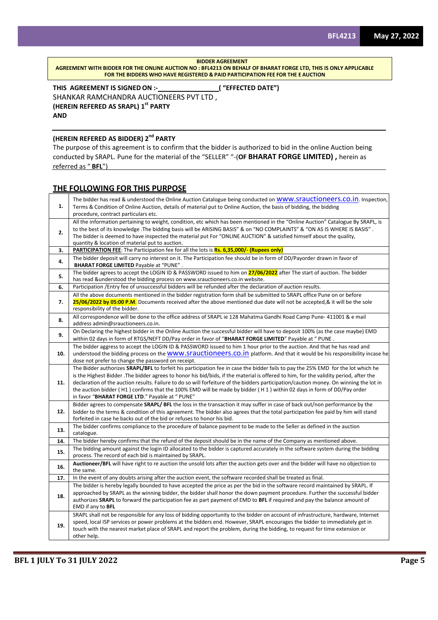**BIDDER AGREEMENT**

**AGREEMENT WITH BIDDER FOR THE ONLINE AUCTION NO : BFL4213 ON BEHALF OF BHARAT FORGE LTD, THIS IS ONLY APPLICABLE FOR THE BIDDERS WHO HAVE REGISTERED & PAID PARTICIPATION FEE FOR THE E AUCTION**

**THIS AGREEMENT IS SIGNED ON :- ( "EFFECTED DATE")** SHANKAR RAMCHANDRA AUCTIONEERS PVT LTD , **(HEREIN REFERED AS SRAPL) 1st PARTY AND**

## **(HEREIN REFERED AS BIDDER) 2nd PARTY**

The purpose of this agreement is to confirm that the bidder is authorized to bid in the online Auction being conducted by SRAPL. Pune for the material of the "SELLER" "-(**OF BHARAT FORGE LIMITED) ,** herein as referred as " **BFL**")

## **THE FOLLOWING FOR THIS PURPOSE**

| 1.  | The bidder has read & understood the Online Auction Catalogue being conducted on WWW.STAUCtiONeerS.CO.IN. Inspection,<br>Terms & Condition of Online Auction, details of material put to Online Auction, the basis of bidding, the bidding<br>procedure, contract particulars etc.                                                                                                                                                                                                                                                                                                               |
|-----|--------------------------------------------------------------------------------------------------------------------------------------------------------------------------------------------------------------------------------------------------------------------------------------------------------------------------------------------------------------------------------------------------------------------------------------------------------------------------------------------------------------------------------------------------------------------------------------------------|
| 2.  | All the information pertaining to weight, condition, etc which has been mentioned in the "Online Auction" Catalogue By SRAPL, is<br>to the best of its knowledge .The bidding basis will be ARISING BASIS" & on "NO COMPLAINTS" & "ON AS IS WHERE IS BASIS".<br>The bidder is deemed to have inspected the material put For "ONLINE AUCTION" & satisfied himself about the quality,<br>quantity & location of material put to auction.                                                                                                                                                           |
| 3.  | PARTICIPATION FEE: The Participation fee for all the lots is Rs. 6,35,000/- (Rupees only)                                                                                                                                                                                                                                                                                                                                                                                                                                                                                                        |
| 4.  | The bidder deposit will carry no interest on it. The Participation fee should be in form of DD/Payorder drawn in favor of<br><b>BHARAT FORGE LIMITED Payable at "PUNE".</b>                                                                                                                                                                                                                                                                                                                                                                                                                      |
| 5.  | The bidder agrees to accept the LOGIN ID & PASSWORD issued to him on 27/06/2022 after The start of auction. The bidder<br>has read & understood the bidding process on www.srauctioneers.co.in website.                                                                                                                                                                                                                                                                                                                                                                                          |
| 6.  | Participation / Entry fee of unsuccessful bidders will be refunded after the declaration of auction results.                                                                                                                                                                                                                                                                                                                                                                                                                                                                                     |
| 7.  | All the above documents mentioned in the bidder registration form shall be submitted to SRAPL office Pune on or before<br>25/06/2022 by 05:00 P.M. Documents received after the above mentioned due date will not be accepted, & it will be the sole<br>responsibility of the bidder.                                                                                                                                                                                                                                                                                                            |
| 8.  | All correspondence will be done to the office address of SRAPL ie 128 Mahatma Gandhi Road Camp Pune- 411001 & e mail<br>address admin@srauctioneers.co.in.                                                                                                                                                                                                                                                                                                                                                                                                                                       |
| 9.  | On Declaring the highest bidder in the Online Auction the successful bidder will have to deposit 100% (as the case maybe) EMD<br>within 02 days in form of RTGS/NEFT DD/Pay order in favor of "BHARAT FORGE LIMITED" Payable at " PUNE .                                                                                                                                                                                                                                                                                                                                                         |
| 10. | The bidder aggress to accept the LOGIN ID & PASSWORD issued to him 1 hour prior to the auction. And that he has read and<br>understood the bidding process on the WWW.STauctioneers.co.in platform. And that it would be his responsibility incase he<br>dose not prefer to change the password on receipt.                                                                                                                                                                                                                                                                                      |
| 11. | The Bidder authorizes SRAPL/BFL to forfeit his participation fee in case the bidder fails to pay the 25% EMD for the lot which he<br>is the Highest Bidder. The bidder agrees to honor his bid/bids, if the material is offered to him, for the validity period, after the<br>declaration of the auction results. Failure to do so will forfeiture of the bidders participation/caution money. On winning the lot in<br>the auction bidder (H1) confirms that the 100% EMD will be made by bidder (H1) within 02 days in form of DD/Pay order<br>in favor "BHARAT FORGE LTD." Payable at " PUNE" |
| 12. | Bidder agrees to compensate SRAPL/ BFL the loss in the transaction it may suffer in case of back out/non performance by the<br>bidder to the terms & condition of this agreement. The bidder also agrees that the total participation fee paid by him will stand<br>forfeited in case he backs out of the bid or refuses to honor his bid.                                                                                                                                                                                                                                                       |
| 13. | The bidder confirms compliance to the procedure of balance payment to be made to the Seller as defined in the auction<br>catalogue.                                                                                                                                                                                                                                                                                                                                                                                                                                                              |
| 14. | The bidder hereby confirms that the refund of the deposit should be in the name of the Company as mentioned above.                                                                                                                                                                                                                                                                                                                                                                                                                                                                               |
| 15. | The bidding amount against the login ID allocated to the bidder is captured accurately in the software system during the bidding<br>process. The record of each bid is maintained by SRAPL.                                                                                                                                                                                                                                                                                                                                                                                                      |
| 16. | Auctioneer/BFL will have right to re auction the unsold lots after the auction gets over and the bidder will have no objection to<br>the same.                                                                                                                                                                                                                                                                                                                                                                                                                                                   |
| 17. | In the event of any doubts arising after the auction event, the software recorded shall be treated as final.                                                                                                                                                                                                                                                                                                                                                                                                                                                                                     |
| 18. | The bidder is hereby legally bounded to have accepted the price as per the bid in the software record maintained by SRAPL. If<br>approached by SRAPL as the winning bidder, the bidder shall honor the down payment procedure. Further the successful bidder<br>authorizes SRAPL to forward the participation fee as part payment of EMD to BFL if required and pay the balance amount of<br>EMD if any to BFL                                                                                                                                                                                   |
| 19. | SRAPL shall not be responsible for any loss of bidding opportunity to the bidder on account of infrastructure, hardware, Internet<br>speed, local ISP services or power problems at the bidders end. However, SRAPL encourages the bidder to immediately get in<br>touch with the nearest market place of SRAPL and report the problem, during the bidding, to request for time extension or<br>other help.                                                                                                                                                                                      |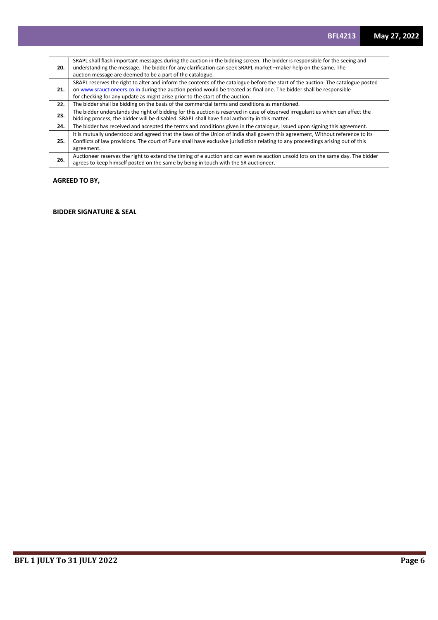| 20. | SRAPL shall flash important messages during the auction in the bidding screen. The bidder is responsible for the seeing and<br>understanding the message. The bidder for any clarification can seek SRAPL market -maker help on the same. The<br>auction message are deemed to be a part of the catalogue.                               |
|-----|------------------------------------------------------------------------------------------------------------------------------------------------------------------------------------------------------------------------------------------------------------------------------------------------------------------------------------------|
| 21. | SRAPL reserves the right to alter and inform the contents of the catalogue before the start of the auction. The catalogue posted<br>on www.srauctioneers.co.in during the auction period would be treated as final one. The bidder shall be responsible<br>for checking for any update as might arise prior to the start of the auction. |
| 22. | The bidder shall be bidding on the basis of the commercial terms and conditions as mentioned.                                                                                                                                                                                                                                            |
| 23. | The bidder understands the right of bidding for this auction is reserved in case of observed irregularities which can affect the<br>bidding process, the bidder will be disabled. SRAPL shall have final authority in this matter.                                                                                                       |
| 24. | The bidder has received and accepted the terms and conditions given in the catalogue, issued upon signing this agreement.                                                                                                                                                                                                                |
| 25. | It is mutually understood and agreed that the laws of the Union of India shall govern this agreement, Without reference to its<br>Conflicts of law provisions. The court of Pune shall have exclusive jurisdiction relating to any proceedings arising out of this<br>agreement.                                                         |
| 26. | Auctioneer reserves the right to extend the timing of e auction and can even re auction unsold lots on the same day. The bidder<br>agrees to keep himself posted on the same by being in touch with the SR auctioneer.                                                                                                                   |

## **AGREED TO BY,**

## **BIDDER SIGNATURE & SEAL**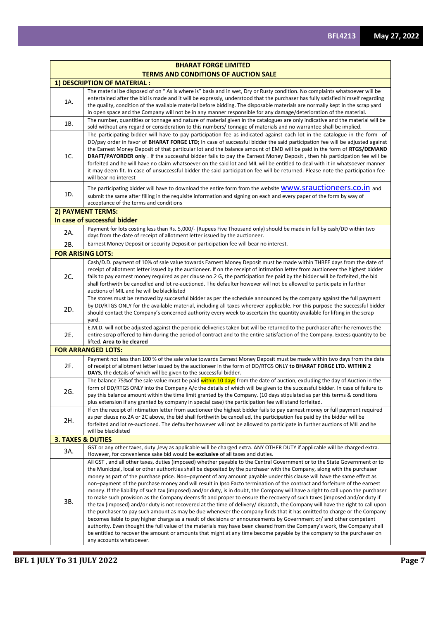|                              | <b>TERMS AND CONDITIONS OF AUCTION SALE</b>                                                                                                                                                                                                                                                                                                                                                                                                                                                                                                                                                                                                                                                                                                                                                                                                                                                                                                                                                                                                                                                                                                                                                                                                                                                                                                                                                                                                    |
|------------------------------|------------------------------------------------------------------------------------------------------------------------------------------------------------------------------------------------------------------------------------------------------------------------------------------------------------------------------------------------------------------------------------------------------------------------------------------------------------------------------------------------------------------------------------------------------------------------------------------------------------------------------------------------------------------------------------------------------------------------------------------------------------------------------------------------------------------------------------------------------------------------------------------------------------------------------------------------------------------------------------------------------------------------------------------------------------------------------------------------------------------------------------------------------------------------------------------------------------------------------------------------------------------------------------------------------------------------------------------------------------------------------------------------------------------------------------------------|
|                              | 1) DESCRIPTION OF MATERIAL :                                                                                                                                                                                                                                                                                                                                                                                                                                                                                                                                                                                                                                                                                                                                                                                                                                                                                                                                                                                                                                                                                                                                                                                                                                                                                                                                                                                                                   |
| 1A.                          | The material be disposed of on "As is where is" basis and in wet, Dry or Rusty condition. No complaints whatsoever will be<br>entertained after the bid is made and it will be expressly, understood that the purchaser has fully satisfied himself regarding<br>the quality, condition of the available material before bidding. The disposable materials are normally kept in the scrap yard<br>in open space and the Company will not be in any manner responsible for any damage/deterioration of the material.                                                                                                                                                                                                                                                                                                                                                                                                                                                                                                                                                                                                                                                                                                                                                                                                                                                                                                                            |
| 1B.                          | The number, quantities or tonnage and nature of material given in the catalogues are only indicative and the material will be                                                                                                                                                                                                                                                                                                                                                                                                                                                                                                                                                                                                                                                                                                                                                                                                                                                                                                                                                                                                                                                                                                                                                                                                                                                                                                                  |
|                              | sold without any regard or consideration to this numbers/ tonnage of materials and no warrantee shall be implied.<br>The participating bidder will have to pay participation fee as indicated against each lot in the catalogue in the form of                                                                                                                                                                                                                                                                                                                                                                                                                                                                                                                                                                                                                                                                                                                                                                                                                                                                                                                                                                                                                                                                                                                                                                                                 |
| 1C.                          | DD/pay order in favor of BHARAT FORGE LTD; In case of successful bidder the said participation fee will be adjusted against<br>the Earnest Money Deposit of that particular lot and the balance amount of EMD will be paid in the form of RTGS/DEMAND<br><b>DRAFT/PAYORDER only</b> . If the successful bidder fails to pay the Earnest Money Deposit, then his participation fee will be<br>forfeited and he will have no claim whatsoever on the said lot and MIL will be entitled to deal with it in whatsoever manner<br>it may deem fit. In case of unsuccessful bidder the said participation fee will be returned. Please note the participation fee<br>will bear no interest                                                                                                                                                                                                                                                                                                                                                                                                                                                                                                                                                                                                                                                                                                                                                           |
| 1D.                          | The participating bidder will have to download the entire form from the website <b>WWW.STAUCTIONEETS.CO.IN</b> and<br>submit the same after filling in the requisite information and signing on each and every paper of the form by way of                                                                                                                                                                                                                                                                                                                                                                                                                                                                                                                                                                                                                                                                                                                                                                                                                                                                                                                                                                                                                                                                                                                                                                                                     |
|                              | acceptance of the terms and conditions                                                                                                                                                                                                                                                                                                                                                                                                                                                                                                                                                                                                                                                                                                                                                                                                                                                                                                                                                                                                                                                                                                                                                                                                                                                                                                                                                                                                         |
| 2) PAYMENT TERMS:            |                                                                                                                                                                                                                                                                                                                                                                                                                                                                                                                                                                                                                                                                                                                                                                                                                                                                                                                                                                                                                                                                                                                                                                                                                                                                                                                                                                                                                                                |
|                              | In case of successful bidder                                                                                                                                                                                                                                                                                                                                                                                                                                                                                                                                                                                                                                                                                                                                                                                                                                                                                                                                                                                                                                                                                                                                                                                                                                                                                                                                                                                                                   |
| 2A.                          | Payment for lots costing less than Rs. 5,000/- (Rupees Five Thousand only) should be made in full by cash/DD within two<br>days from the date of receipt of allotment letter issued by the auctioneer.                                                                                                                                                                                                                                                                                                                                                                                                                                                                                                                                                                                                                                                                                                                                                                                                                                                                                                                                                                                                                                                                                                                                                                                                                                         |
| 2B.                          | Earnest Money Deposit or security Deposit or participation fee will bear no interest.                                                                                                                                                                                                                                                                                                                                                                                                                                                                                                                                                                                                                                                                                                                                                                                                                                                                                                                                                                                                                                                                                                                                                                                                                                                                                                                                                          |
| <b>FOR ARISING LOTS:</b>     |                                                                                                                                                                                                                                                                                                                                                                                                                                                                                                                                                                                                                                                                                                                                                                                                                                                                                                                                                                                                                                                                                                                                                                                                                                                                                                                                                                                                                                                |
|                              | Cash/D.D. payment of 10% of sale value towards Earnest Money Deposit must be made within THREE days from the date of                                                                                                                                                                                                                                                                                                                                                                                                                                                                                                                                                                                                                                                                                                                                                                                                                                                                                                                                                                                                                                                                                                                                                                                                                                                                                                                           |
| 2C.                          | receipt of allotment letter issued by the auctioneer. If on the receipt of intimation letter from auctioneer the highest bidder<br>fails to pay earnest money required as per clause no.2 G, the participation fee paid by the bidder will be forfeited, the bid<br>shall forthwith be cancelled and lot re-auctioned. The defaulter however will not be allowed to participate in further<br>auctions of MIL and he will be blacklisted                                                                                                                                                                                                                                                                                                                                                                                                                                                                                                                                                                                                                                                                                                                                                                                                                                                                                                                                                                                                       |
| 2D.                          | The stores must be removed by successful bidder as per the schedule announced by the company against the full payment<br>by DD/RTGS ONLY for the available material, including all taxes wherever applicable. For this purpose the successful bidder<br>should contact the Company's concerned authority every week to ascertain the quantity available for lifting in the scrap<br>yard.                                                                                                                                                                                                                                                                                                                                                                                                                                                                                                                                                                                                                                                                                                                                                                                                                                                                                                                                                                                                                                                      |
| 2E.                          | E.M.D. will not be adjusted against the periodic deliveries taken but will be returned to the purchaser after he removes the<br>entire scrap offered to him during the period of contract and to the entire satisfaction of the Company. Excess quantity to be<br>lifted. Area to be cleared                                                                                                                                                                                                                                                                                                                                                                                                                                                                                                                                                                                                                                                                                                                                                                                                                                                                                                                                                                                                                                                                                                                                                   |
|                              | <b>FOR ARRANGED LOTS:</b>                                                                                                                                                                                                                                                                                                                                                                                                                                                                                                                                                                                                                                                                                                                                                                                                                                                                                                                                                                                                                                                                                                                                                                                                                                                                                                                                                                                                                      |
| 2F.                          | Payment not less than 100 % of the sale value towards Earnest Money Deposit must be made within two days from the date<br>of receipt of allotment letter issued by the auctioneer in the form of DD/RTGS ONLY to BHARAT FORGE LTD. WITHIN 2<br>DAYS, the details of which will be given to the successful bidder.                                                                                                                                                                                                                                                                                                                                                                                                                                                                                                                                                                                                                                                                                                                                                                                                                                                                                                                                                                                                                                                                                                                              |
| 2G.                          | The balance 75% of the sale value must be paid within 10 days from the date of auction, excluding the day of Auction in the<br>form of DD/RTGS ONLY into the Company A/c the details of which will be given to the successful bidder. In case of failure to<br>pay this balance amount within the time limit granted by the Company. (10 days stipulated as par this terms & conditions<br>plus extension if any granted by company in special case) the participation fee will stand forfeited.                                                                                                                                                                                                                                                                                                                                                                                                                                                                                                                                                                                                                                                                                                                                                                                                                                                                                                                                               |
| 2H.                          | If on the receipt of intimation letter from auctioneer the highest bidder fails to pay earnest money or full payment required<br>as per clause no.2A or 2C above, the bid shall forthwith be cancelled, the participation fee paid by the bidder will be<br>forfeited and lot re-auctioned. The defaulter however will not be allowed to participate in further auctions of MIL and he<br>will be blacklisted                                                                                                                                                                                                                                                                                                                                                                                                                                                                                                                                                                                                                                                                                                                                                                                                                                                                                                                                                                                                                                  |
| <b>3. TAXES &amp; DUTIES</b> |                                                                                                                                                                                                                                                                                                                                                                                                                                                                                                                                                                                                                                                                                                                                                                                                                                                                                                                                                                                                                                                                                                                                                                                                                                                                                                                                                                                                                                                |
| 3A.                          | GST or any other taxes, duty , levy as applicable will be charged extra. ANY OTHER DUTY if applicable will be charged extra.<br>However, for convenience sake bid would be exclusive of all taxes and duties.                                                                                                                                                                                                                                                                                                                                                                                                                                                                                                                                                                                                                                                                                                                                                                                                                                                                                                                                                                                                                                                                                                                                                                                                                                  |
| 3B.                          | All GST, and all other taxes, duties (imposed) whether payable to the Central Government or to the State Government or to<br>the Municipal, local or other authorities shall be deposited by the purchaser with the Company, along with the purchaser<br>money as part of the purchase price. Non-payment of any amount payable under this clause will have the same effect as<br>non-payment of the purchase money and will result in Ipso Facto termination of the contract and forfeiture of the earnest<br>money. If the liability of such tax (imposed) and/or duty, is in doubt, the Company will have a right to call upon the purchaser<br>to make such provision as the Company deems fit and proper to ensure the recovery of such taxes (imposed and/or duty if<br>the tax (imposed) and/or duty is not recovered at the time of delivery/ dispatch, the Company will have the right to call upon<br>the purchaser to pay such amount as may be due whenever the company finds that it has omitted to charge or the Company<br>becomes liable to pay higher charge as a result of decisions or announcements by Government or/ and other competent<br>authority. Even thought the full value of the materials may have been cleared from the Company's work, the Company shall<br>be entitled to recover the amount or amounts that might at any time become payable by the company to the purchaser on<br>any accounts whatsoever. |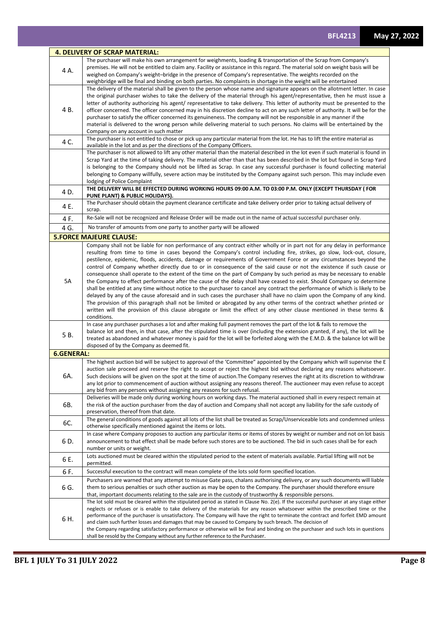|                   | <b>4. DELIVERY OF SCRAP MATERIAL:</b>                                                                                                                                                                                                                             |
|-------------------|-------------------------------------------------------------------------------------------------------------------------------------------------------------------------------------------------------------------------------------------------------------------|
|                   | The purchaser will make his own arrangement for weighments, loading & transportation of the Scrap from Company's                                                                                                                                                  |
| 4 A.              | premises. He will not be entitled to claim any. Facility or assistance in this regard. The material sold on weight basis will be<br>weighed on Company's weight-bridge in the presence of Company's representative. The weights recorded on the                   |
|                   | weighbridge will be final and binding on both parties. No complaints in shortage in the weight will be entertained                                                                                                                                                |
|                   | The delivery of the material shall be given to the person whose name and signature appears on the allotment letter. In case                                                                                                                                       |
|                   | the original purchaser wishes to take the delivery of the material through his agent/representative, then he must issue a                                                                                                                                         |
|                   | letter of authority authorizing his agent/ representative to take delivery. This letter of authority must be presented to the                                                                                                                                     |
| 4 B.              | officer concerned. The officer concerned may in his discretion decline to act on any such letter of authority. It will be for the<br>purchaser to satisfy the officer concerned its genuineness. The company will not be responsible in any manner if the         |
|                   | material is delivered to the wrong person while delivering material to such persons. No claims will be entertained by the                                                                                                                                         |
|                   | Company on any account in such matter                                                                                                                                                                                                                             |
| 4 C.              | The purchaser is not entitled to chose or pick up any particular material from the lot. He has to lift the entire material as                                                                                                                                     |
|                   | available in the lot and as per the directions of the Company Officers.<br>The purchaser is not allowed to lift any other material than the material described in the lot even if such material is found in                                                       |
|                   | Scrap Yard at the time of taking delivery. The material other than that has been described in the lot but found in Scrap Yard                                                                                                                                     |
|                   | is belonging to the Company should not be lifted as Scrap. In case any successful purchaser is found collecting material                                                                                                                                          |
|                   | belonging to Company willfully, severe action may be instituted by the Company against such person. This may include even                                                                                                                                         |
|                   | lodging of Police Complaint                                                                                                                                                                                                                                       |
| 4 D.              | THE DELIVERY WILL BE EFFECTED DURING WORKING HOURS 09:00 A.M. TO 03:00 P.M. ONLY (EXCEPT THURSDAY ( FOR<br>PUNE PLANT) & PUBLIC HOLIDAYS).                                                                                                                        |
| 4 E.              | The Purchaser should obtain the payment clearance certificate and take delivery order prior to taking actual delivery of<br>scrap.                                                                                                                                |
| 4 F.              | Re-Sale will not be recognized and Release Order will be made out in the name of actual successful purchaser only.                                                                                                                                                |
| 4 G.              | No transfer of amounts from one party to another party will be allowed                                                                                                                                                                                            |
|                   | <b>5.FORCE MAJEURE CLAUSE:</b>                                                                                                                                                                                                                                    |
|                   | Company shall not be liable for non performance of any contract either wholly or in part not for any delay in performance                                                                                                                                         |
|                   | resulting from time to time in cases beyond the Company's control including fire, strikes, go slow, lock-out, closure,<br>pestilence, epidemic, floods, accidents, damage or requirements of Government Force or any circumstances beyond the                     |
|                   | control of Company whether directly due to or in consequence of the said cause or not the existence if such cause or                                                                                                                                              |
|                   | consequence shall operate to the extent of the time on the part of Company by such period as may be necessary to enable                                                                                                                                           |
| 5A                | the Company to effect performance after the cause of the delay shall have ceased to exist. Should Company so determine                                                                                                                                            |
|                   | shall be entitled at any time without notice to the purchaser to cancel any contract the performance of which is likely to be                                                                                                                                     |
|                   | delayed by any of the cause aforesaid and in such cases the purchaser shall have no claim upon the Company of any kind.<br>The provision of this paragraph shall not be limited or abrogated by any other terms of the contract whether printed or                |
|                   | written will the provision of this clause abrogate or limit the effect of any other clause mentioned in these terms &                                                                                                                                             |
|                   | conditions.                                                                                                                                                                                                                                                       |
|                   | In case any purchaser purchases a lot and after making full payment removes the part of the lot & fails to remove the                                                                                                                                             |
| 5B.               | balance lot and then, in that case, after the stipulated time is over (including the extension granted, if any), the lot will be<br>treated as abandoned and whatever money is paid for the lot will be forfeited along with the E.M.D. & the balance lot will be |
|                   | disposed of by the Company as deemed fit.                                                                                                                                                                                                                         |
| <b>6.GENERAL:</b> |                                                                                                                                                                                                                                                                   |
|                   | The highest auction bid will be subject to approval of the 'Committee" appointed by the Company which will supervise the E                                                                                                                                        |
|                   | auction sale proceed and reserve the right to accept or reject the highest bid without declaring any reasons whatsoever.                                                                                                                                          |
| 6A.               | Such decisions will be given on the spot at the time of auction. The Company reserves the right at its discretion to withdraw<br>any lot prior to commencement of auction without assigning any reasons thereof. The auctioneer may even refuse to accept         |
|                   | any bid from any persons without assigning any reasons for such refusal.                                                                                                                                                                                          |
|                   | Deliveries will be made only during working hours on working days. The material auctioned shall in every respect remain at                                                                                                                                        |
| 6B.               | the risk of the auction purchaser from the day of auction and Company shall not accept any liability for the safe custody of                                                                                                                                      |
|                   | preservation, thereof from that date.                                                                                                                                                                                                                             |
| 6C.               | The general conditions of goods against all lots of the list shall be treated as Scrap/Unserviceable lots and condemned unless<br>otherwise specifically mentioned against the items or lots.                                                                     |
|                   | In case where Company proposes to auction any particular items or items of stores by weight or number and not on lot basis                                                                                                                                        |
| 6 D.              | announcement to that effect shall be made before such stores are to be auctioned. The bid in such cases shall be for each                                                                                                                                         |
|                   | number or units or weight.                                                                                                                                                                                                                                        |
| 6 E.              | Lots auctioned must be cleared within the stipulated period to the extent of materials available. Partial lifting will not be<br>permitted.                                                                                                                       |
| 6 F.              | Successful execution to the contract will mean complete of the lots sold form specified location.                                                                                                                                                                 |
|                   | Purchasers are warned that any attempt to misuse Gate pass, chalans authorising delivery, or any such documents will liable                                                                                                                                       |
| 6 G.              | them to serious penalties or such other auction as may be open to the Company. The purchaser should therefore ensure                                                                                                                                              |
|                   | that, important documents relating to the sale are in the custody of trustworthy & responsible persons.<br>The lot sold must be cleared within the stipulated period as stated in Clause No. 2(e). If the successful purchaser at any stage either                |
|                   | neglects or refuses or is enable to take delivery of the materials for any reason whatsoever within the prescribed time or the                                                                                                                                    |
| 6 H.              | performance of the purchaser is unsatisfactory. The Company will have the right to terminate the contract and forfeit EMD amount                                                                                                                                  |
|                   | and claim such further losses and damages that may be caused to Company by such breach. The decision of                                                                                                                                                           |
|                   | the Company regarding satisfactory performance or otherwise will be final and binding on the purchaser and such lots in questions<br>shall be resold by the Company without any further reference to the Purchaser.                                               |
|                   |                                                                                                                                                                                                                                                                   |